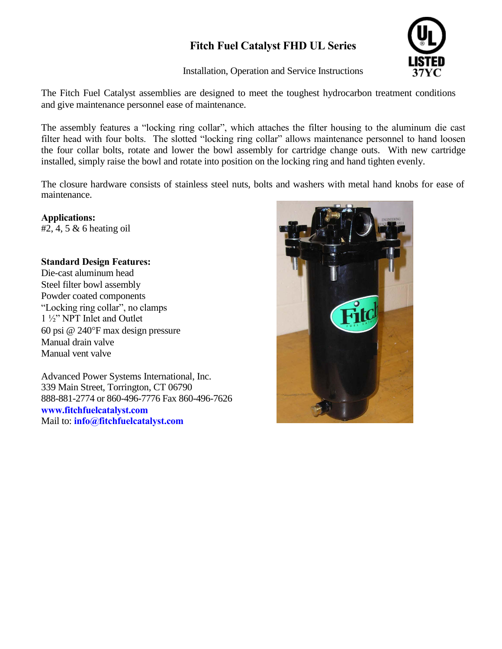# **Fitch Fuel Catalyst FHD UL Series**

Installation, Operation and Service Instructions



The Fitch Fuel Catalyst assemblies are designed to meet the toughest hydrocarbon treatment conditions and give maintenance personnel ease of maintenance.

The assembly features a "locking ring collar", which attaches the filter housing to the aluminum die cast filter head with four bolts. The slotted "locking ring collar" allows maintenance personnel to hand loosen the four collar bolts, rotate and lower the bowl assembly for cartridge change outs. With new cartridge installed, simply raise the bowl and rotate into position on the locking ring and hand tighten evenly.

The closure hardware consists of stainless steel nuts, bolts and washers with metal hand knobs for ease of maintenance.

**Applications:**   $#2, 4, 5 \& 6$  heating oil

## **Standard Design Features:**

Die-cast aluminum head Steel filter bowl assembly Powder coated components "Locking ring collar", no clamps 1 ½" NPT Inlet and Outlet 60 psi  $@$  240 $\degree$ F max design pressure Manual drain valve Manual vent valve

Advanced Power Systems International, Inc. 339 Main Street, Torrington, CT 06790 888-881-2774 or 860-496-7776 Fax 860-496-7626 **www.fitchfuelcatalyst.com**  Mail to: **info@fitchfuelcatalyst.com** 

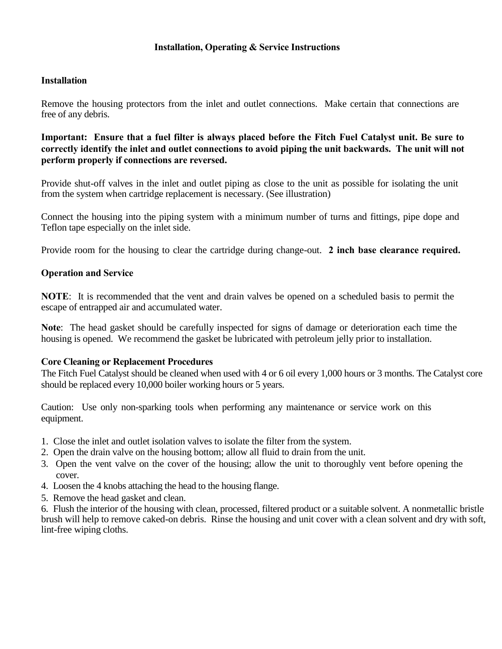## **Installation, Operating & Service Instructions**

### **Installation**

Remove the housing protectors from the inlet and outlet connections. Make certain that connections are free of any debris.

**Important: Ensure that a fuel filter is always placed before the Fitch Fuel Catalyst unit. Be sure to correctly identify the inlet and outlet connections to avoid piping the unit backwards. The unit will not perform properly if connections are reversed.** 

Provide shut-off valves in the inlet and outlet piping as close to the unit as possible for isolating the unit from the system when cartridge replacement is necessary. (See illustration)

Connect the housing into the piping system with a minimum number of turns and fittings, pipe dope and Teflon tape especially on the inlet side.

Provide room for the housing to clear the cartridge during change-out. **2 inch base clearance required.** 

#### **Operation and Service**

**NOTE**: It is recommended that the vent and drain valves be opened on a scheduled basis to permit the escape of entrapped air and accumulated water.

**Note**: The head gasket should be carefully inspected for signs of damage or deterioration each time the housing is opened. We recommend the gasket be lubricated with petroleum jelly prior to installation.

#### **Core Cleaning or Replacement Procedures**

The Fitch Fuel Catalyst should be cleaned when used with 4 or 6 oil every 1,000 hours or 3 months. The Catalyst core should be replaced every 10,000 boiler working hours or 5 years.

Caution: Use only non-sparking tools when performing any maintenance or service work on this equipment.

- 1. Close the inlet and outlet isolation valves to isolate the filter from the system.
- 2. Open the drain valve on the housing bottom; allow all fluid to drain from the unit.
- 3. Open the vent valve on the cover of the housing; allow the unit to thoroughly vent before opening the cover.
- 4. Loosen the 4 knobs attaching the head to the housing flange.
- 5. Remove the head gasket and clean.

6. Flush the interior of the housing with clean, processed, filtered product or a suitable solvent. A nonmetallic bristle brush will help to remove caked-on debris. Rinse the housing and unit cover with a clean solvent and dry with soft, lint-free wiping cloths.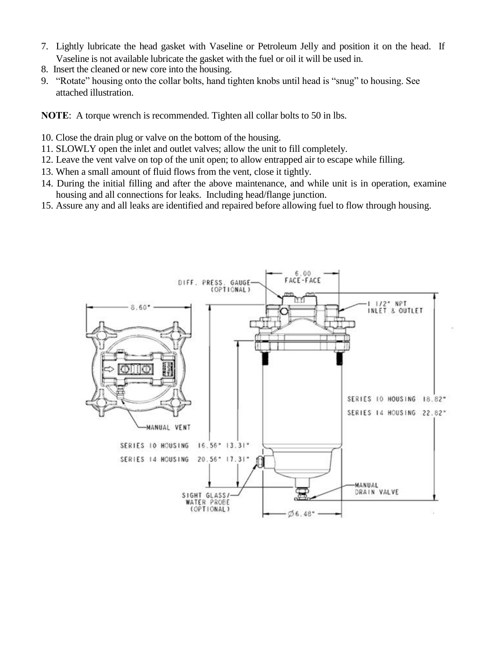- 7. Lightly lubricate the head gasket with Vaseline or Petroleum Jelly and position it on the head. If Vaseline is not available lubricate the gasket with the fuel or oil it will be used in.
- 8. Insert the cleaned or new core into the housing.
- 9. "Rotate" housing onto the collar bolts, hand tighten knobs until head is "snug" to housing. See attached illustration.

**NOTE**: A torque wrench is recommended. Tighten all collar bolts to 50 in lbs.

- 10. Close the drain plug or valve on the bottom of the housing.
- 11. SLOWLY open the inlet and outlet valves; allow the unit to fill completely.
- 12. Leave the vent valve on top of the unit open; to allow entrapped air to escape while filling.
- 13. When a small amount of fluid flows from the vent, close it tightly.
- 14. During the initial filling and after the above maintenance, and while unit is in operation, examine housing and all connections for leaks. Including head/flange junction.
- 15. Assure any and all leaks are identified and repaired before allowing fuel to flow through housing.

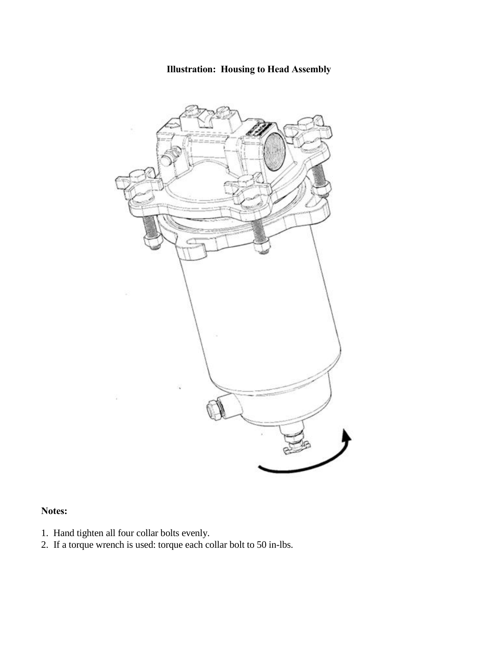**Illustration: Housing to Head Assembly** 



# **Notes:**

- 1. Hand tighten all four collar bolts evenly.
- 2. If a torque wrench is used: torque each collar bolt to 50 in-lbs.